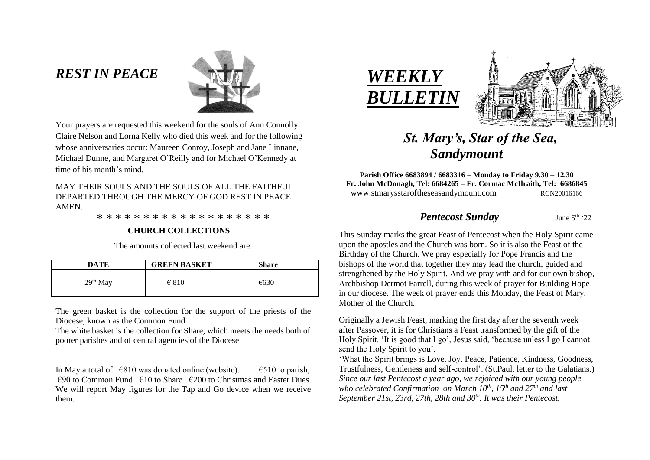# *REST IN PEACE*



Your prayers are requested this weekend for the souls of Ann Connolly Claire Nelson and Lorna Kelly who died this week and for the following whose anniversaries occur: Maureen Conroy, Joseph and Jane Linnane, Michael Dunne, and Margaret O'Reilly and for Michael O'Kennedy at time of his month's mind.

## MAY THEIR SOULS AND THE SOULS OF ALL THE FAITHFUL DEPARTED THROUGH THE MERCY OF GOD REST IN PEACE. AMEN.

\* \* \* \* \* \* \* \* \* \* \* \* \* \* \* \* \* \* \*

### **CHURCH COLLECTIONS**

The amounts collected last weekend are:

| DATE       | <b>GREEN BASKET</b> | <b>Share</b> |
|------------|---------------------|--------------|
| $29th$ May | $\epsilon$ 810      | €630         |

The green basket is the collection for the support of the priests of the Diocese, known as the Common Fund

The white basket is the collection for Share, which meets the needs both of poorer parishes and of central agencies of the Diocese

In May a total of  $\epsilon$ 810 was donated online (website):  $\epsilon$ 510 to parish,  $\epsilon$ 90 to Common Fund  $\epsilon$ 10 to Share  $\epsilon$ 200 to Christmas and Easter Dues. We will report May figures for the Tap and Go device when we receive them.





# *St. Mary's, Star of the Sea, Sandymount*

**Parish Office 6683894 / 6683316 – Monday to Friday 9.30 – 12.30 Fr. John McDonagh, Tel: 6684265 – Fr. Cormac McIlraith, Tel: 6686845** www.stmarysstaroftheseasandymount.com RCN20016166

## *Pentecost Sunday* June 5th '22

This Sunday marks the great Feast of Pentecost when the Holy Spirit came upon the apostles and the Church was born. So it is also the Feast of the Birthday of the Church. We pray especially for Pope Francis and the bishops of the world that together they may lead the church, guided and strengthened by the Holy Spirit. And we pray with and for our own bishop, Archbishop Dermot Farrell, during this week of prayer for Building Hope in our diocese. The week of prayer ends this Monday, the Feast of Mary, Mother of the Church.

Originally a Jewish Feast, marking the first day after the seventh week after Passover, it is for Christians a Feast transformed by the gift of the Holy Spirit. 'It is good that I go', Jesus said, 'because unless I go I cannot send the Holy Spirit to you'.

'What the Spirit brings is Love, Joy, Peace, Patience, Kindness, Goodness, Trustfulness, Gentleness and self-control'. (St.Paul, letter to the Galatians.) *Since our last Pentecost a year ago, we rejoiced with our young people who celebrated Confirmation on March 10th , 15th and 27 th and last September 21st, 23rd, 27th, 28th and 30th . It was their Pentecost.*